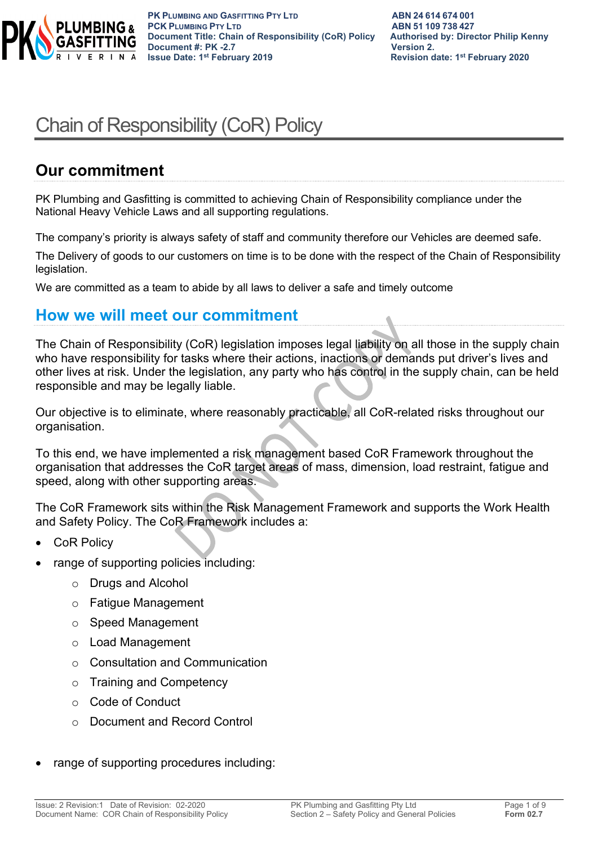

**PK PLUMBING AND GASFITTING PTY LTD ABN 24 614 674 001 PCK PLUMBING PTY LTD**<br> **PCK PLUMBING PTY LTD**<br> **Document Title: Chain of Responsibility (CoR) Policy Authorised by: Director Philip Kenny Document Title: Chain of Responsibility (CoR) Policy Document #: PK -2.7 CONSERVING THE VERTIGE VERTIGES UP AT A Version 2.**<br> **Property 1state: 1state: 1state: 1state: 1state: 1state: 1state: 1state: 1state: 2019** 

**Revision date: 1st February 2020** 

# Chain of Responsibility (CoR) Policy

## **Our commitment**

PK Plumbing and Gasfitting is committed to achieving Chain of Responsibility compliance under the National Heavy Vehicle Laws and all supporting regulations.

The company's priority is always safety of staff and community therefore our Vehicles are deemed safe.

The Delivery of goods to our customers on time is to be done with the respect of the Chain of Responsibility legislation.

We are committed as a team to abide by all laws to deliver a safe and timely outcome

### **How we will meet our commitment**

The Chain of Responsibility (CoR) legislation imposes legal liability on all those in the supply chain who have responsibility for tasks where their actions, inactions or demands put driver's lives and other lives at risk. Under the legislation, any party who has control in the supply chain, can be held responsible and may be legally liable.

Our objective is to eliminate, where reasonably practicable, all CoR-related risks throughout our organisation.

To this end, we have implemented a risk management based CoR Framework throughout the organisation that addresses the CoR target areas of mass, dimension, load restraint, fatigue and speed, along with other supporting areas.

The CoR Framework sits within the Risk Management Framework and supports the Work Health and Safety Policy. The CoR Framework includes a:

- **CoR Policy**
- range of supporting policies including:
	- o Drugs and Alcohol
	- o Fatigue Management
	- o Speed Management
	- o Load Management
	- o Consultation and Communication
	- o Training and Competency
	- o Code of Conduct
	- o Document and Record Control
- range of supporting procedures including: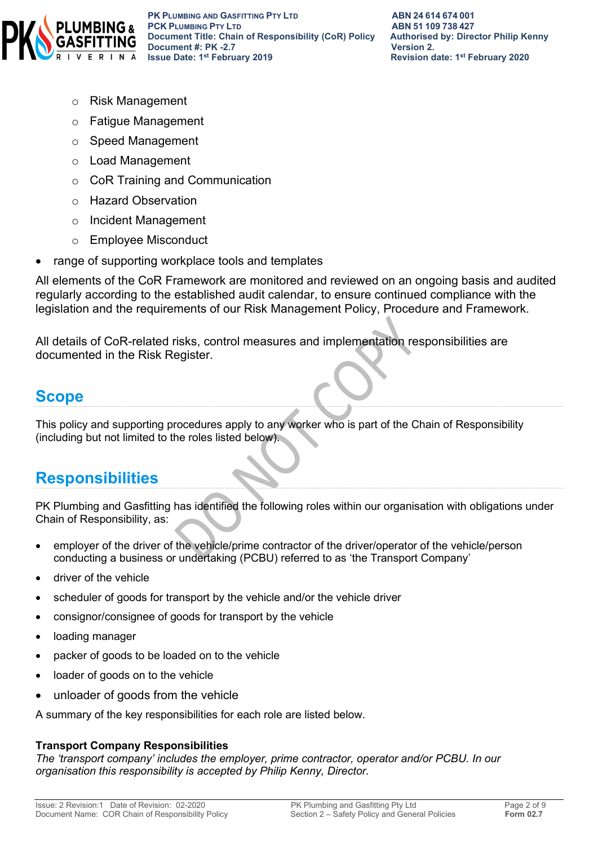

- o Risk Management
- o Fatigue Management
- o Speed Management
- o Load Management
- o CoR Training and Communication
- o Hazard Observation
- o Incident Management
- o Employee Misconduct
- range of supporting workplace tools and templates

All elements of the CoR Framework are monitored and reviewed on an ongoing basis and audited regularly according to the established audit calendar, to ensure continued compliance with the legislation and the requirements of our Risk Management Policy, Procedure and Framework.

All details of CoR-related risks, control measures and implementation responsibilities are documented in the Risk Register.

## **Scope**

This policy and supporting procedures apply to any worker who is part of the Chain of Responsibility (including but not limited to the roles listed below).

## **Responsibilities**

PK Plumbing and Gasfitting has identified the following roles within our organisation with obligations under Chain of Responsibility, as:

- employer of the driver of the vehicle/prime contractor of the driver/operator of the vehicle/person conducting a business or undertaking (PCBU) referred to as 'the Transport Company'
- driver of the vehicle
- scheduler of goods for transport by the vehicle and/or the vehicle driver
- consignor/consignee of goods for transport by the vehicle
- loading manager
- packer of goods to be loaded on to the vehicle
- loader of goods on to the vehicle
- unloader of goods from the vehicle

A summary of the key responsibilities for each role are listed below.

#### **Transport Company Responsibilities**

*The 'transport company' includes the employer, prime contractor, operator and/or PCBU. In our organisation this responsibility is accepted by Philip Kenny, Director.*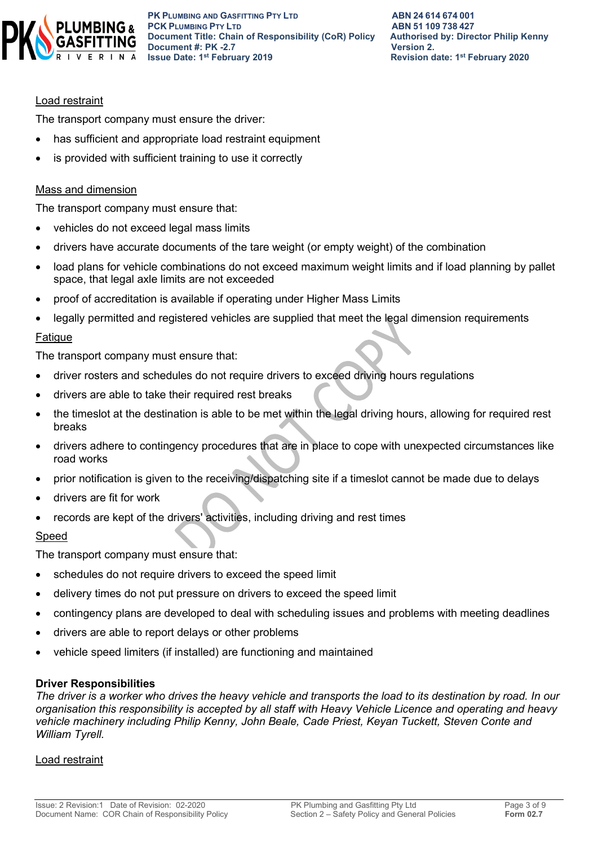

#### Load restraint

The transport company must ensure the driver:

- has sufficient and appropriate load restraint equipment
- is provided with sufficient training to use it correctly

#### Mass and dimension

The transport company must ensure that:

- vehicles do not exceed legal mass limits
- drivers have accurate documents of the tare weight (or empty weight) of the combination
- load plans for vehicle combinations do not exceed maximum weight limits and if load planning by pallet space, that legal axle limits are not exceeded
- proof of accreditation is available if operating under Higher Mass Limits
- legally permitted and registered vehicles are supplied that meet the legal dimension requirements

#### Fatigue

The transport company must ensure that:

- driver rosters and schedules do not require drivers to exceed driving hours regulations
- drivers are able to take their required rest breaks
- the timeslot at the destination is able to be met within the legal driving hours, allowing for required rest breaks
- drivers adhere to contingency procedures that are in place to cope with unexpected circumstances like road works
- prior notification is given to the receiving/dispatching site if a timeslot cannot be made due to delays
- drivers are fit for work
- records are kept of the drivers' activities, including driving and rest times

#### Speed

The transport company must ensure that:

- schedules do not require drivers to exceed the speed limit
- delivery times do not put pressure on drivers to exceed the speed limit
- contingency plans are developed to deal with scheduling issues and problems with meeting deadlines
- drivers are able to report delays or other problems
- vehicle speed limiters (if installed) are functioning and maintained

#### **Driver Responsibilities**

*The driver is a worker who drives the heavy vehicle and transports the load to its destination by road. In our organisation this responsibility is accepted by all staff with Heavy Vehicle Licence and operating and heavy vehicle machinery including Philip Kenny, John Beale, Cade Priest, Keyan Tuckett, Steven Conte and William Tyrell.*

#### Load restraint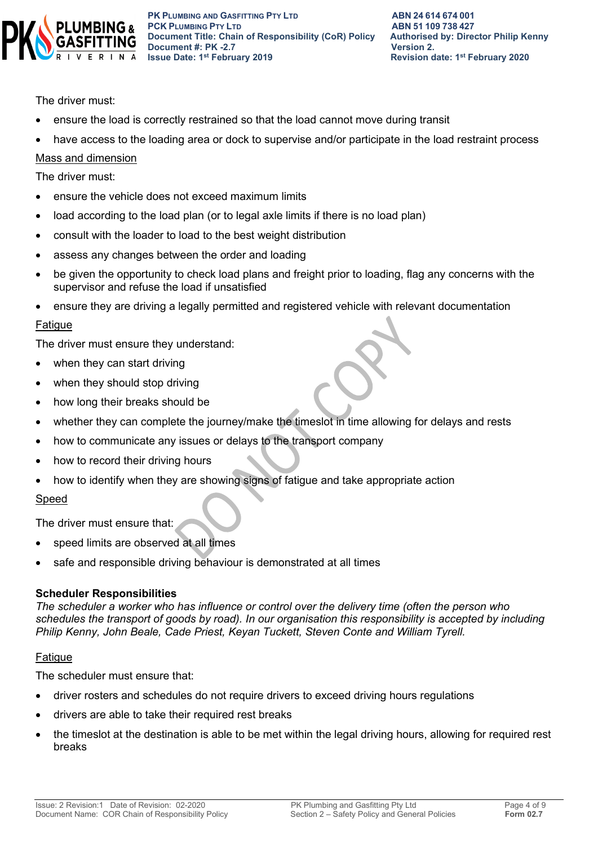

**PK PLUMBING AND GASFITTING PTY LTD ABN 24 614 674 001 PCK PLUMBING PTY LTD**<br> **PCK PLUMBING PTY LTD**<br> **Document Title: Chain of Responsibility (CoR) Policy Authorised by: Director Philip Kenny Document Title: Chain of Responsibility (CoR) Policy Document #: PK -2.7 CONSERVING THE VERTIGE VERTIGES UP AT A Version 2.**<br> **Property 1state: 1state: 1state: 1state: 1state: 1state: 1state: 1state: 1state: 2019** 

**Revision date: 1st February 2020** 

The driver must:

- ensure the load is correctly restrained so that the load cannot move during transit
- have access to the loading area or dock to supervise and/or participate in the load restraint process

#### Mass and dimension

The driver must:

- ensure the vehicle does not exceed maximum limits
- load according to the load plan (or to legal axle limits if there is no load plan)
- consult with the loader to load to the best weight distribution
- assess any changes between the order and loading
- be given the opportunity to check load plans and freight prior to loading, flag any concerns with the supervisor and refuse the load if unsatisfied
- ensure they are driving a legally permitted and registered vehicle with relevant documentation

#### Fatigue

The driver must ensure they understand:

- when they can start driving
- when they should stop driving
- how long their breaks should be
- whether they can complete the journey/make the timeslot in time allowing for delays and rests
- how to communicate any issues or delays to the transport company
- how to record their driving hours
- how to identify when they are showing signs of fatigue and take appropriate action

#### Speed

The driver must ensure that:

- speed limits are observed at all times
- safe and responsible driving behaviour is demonstrated at all times

#### **Scheduler Responsibilities**

*The scheduler a worker who has influence or control over the delivery time (often the person who schedules the transport of goods by road). In our organisation this responsibility is accepted by including Philip Kenny, John Beale, Cade Priest, Keyan Tuckett, Steven Conte and William Tyrell.*

#### **Fatigue**

The scheduler must ensure that:

- driver rosters and schedules do not require drivers to exceed driving hours regulations
- drivers are able to take their required rest breaks
- the timeslot at the destination is able to be met within the legal driving hours, allowing for required rest breaks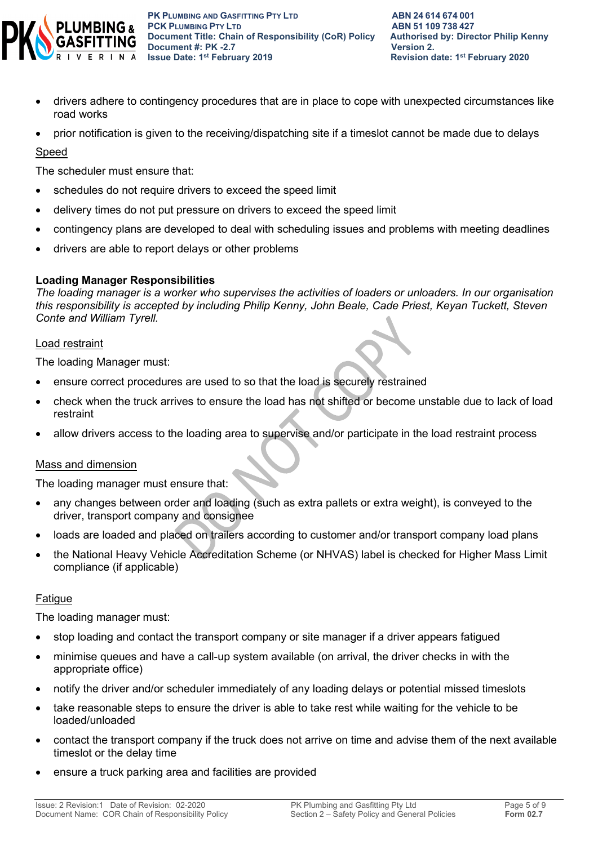

**PK** PLUMBING AND GASFITTING PTY LTD **ABN 24614674001**<br> **PCK** PLUMBING PTY LTD **ABN** 51 109 738 427 **PCK PLUMBING PTY LTD**<br> **PCK PLUMBING PTY LTD**<br> **Document Title: Chain of Responsibility (CoR) Policy Authorised by: Director Philip Kenny Document Title: Chain of Responsibility (CoR) Policy Document #: PK -2.7 CONSERVING THE VERTIGE VERTIGES UP AT A Version 2.**<br> **Property 1state: 1state: 1state: 1state: 1state: 1state: 1state: 1state: 1state: 2019** 

- drivers adhere to contingency procedures that are in place to cope with unexpected circumstances like road works
- prior notification is given to the receiving/dispatching site if a timeslot cannot be made due to delays

#### Speed

The scheduler must ensure that:

- schedules do not require drivers to exceed the speed limit
- delivery times do not put pressure on drivers to exceed the speed limit
- contingency plans are developed to deal with scheduling issues and problems with meeting deadlines
- drivers are able to report delays or other problems

#### **Loading Manager Responsibilities**

*The loading manager is a worker who supervises the activities of loaders or unloaders. In our organisation this responsibility is accepted by including Philip Kenny, John Beale, Cade Priest, Keyan Tuckett, Steven Conte and William Tyrell.*

#### Load restraint

The loading Manager must:

- ensure correct procedures are used to so that the load is securely restrained
- check when the truck arrives to ensure the load has not shifted or become unstable due to lack of load restraint
- allow drivers access to the loading area to supervise and/or participate in the load restraint process

#### Mass and dimension

The loading manager must ensure that:

- any changes between order and loading (such as extra pallets or extra weight), is conveyed to the driver, transport company and consignee
- loads are loaded and placed on trailers according to customer and/or transport company load plans
- the National Heavy Vehicle Accreditation Scheme (or NHVAS) label is checked for Higher Mass Limit compliance (if applicable)

#### **Fatigue**

The loading manager must:

- stop loading and contact the transport company or site manager if a driver appears fatigued
- minimise queues and have a call-up system available (on arrival, the driver checks in with the appropriate office)
- notify the driver and/or scheduler immediately of any loading delays or potential missed timeslots
- take reasonable steps to ensure the driver is able to take rest while waiting for the vehicle to be loaded/unloaded
- contact the transport company if the truck does not arrive on time and advise them of the next available timeslot or the delay time
- ensure a truck parking area and facilities are provided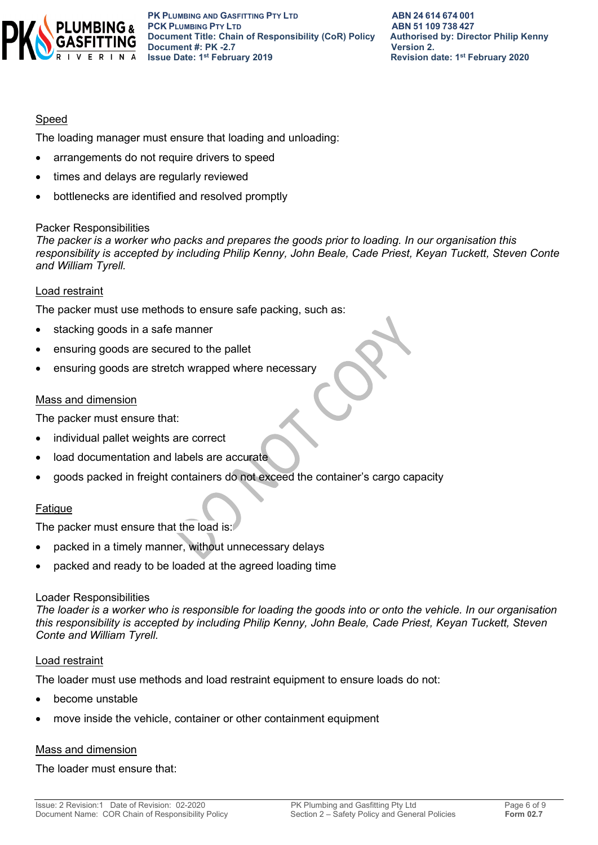

#### Speed

The loading manager must ensure that loading and unloading:

- arrangements do not require drivers to speed
- times and delays are regularly reviewed
- bottlenecks are identified and resolved promptly

#### Packer Responsibilities

*The packer is a worker who packs and prepares the goods prior to loading. In our organisation this responsibility is accepted by including Philip Kenny, John Beale, Cade Priest, Keyan Tuckett, Steven Conte and William Tyrell.*

#### Load restraint

The packer must use methods to ensure safe packing, such as:

- stacking goods in a safe manner
- ensuring goods are secured to the pallet
- ensuring goods are stretch wrapped where necessary

#### Mass and dimension

The packer must ensure that:

- individual pallet weights are correct
- load documentation and labels are accurate
- goods packed in freight containers do not exceed the container's cargo capacity

#### Fatigue

The packer must ensure that the load is:

- packed in a timely manner, without unnecessary delays
- packed and ready to be loaded at the agreed loading time

#### Loader Responsibilities

*The loader is a worker who is responsible for loading the goods into or onto the vehicle. In our organisation this responsibility is accepted by including Philip Kenny, John Beale, Cade Priest, Keyan Tuckett, Steven Conte and William Tyrell.*

#### Load restraint

The loader must use methods and load restraint equipment to ensure loads do not:

- become unstable
- move inside the vehicle, container or other containment equipment

#### Mass and dimension

The loader must ensure that: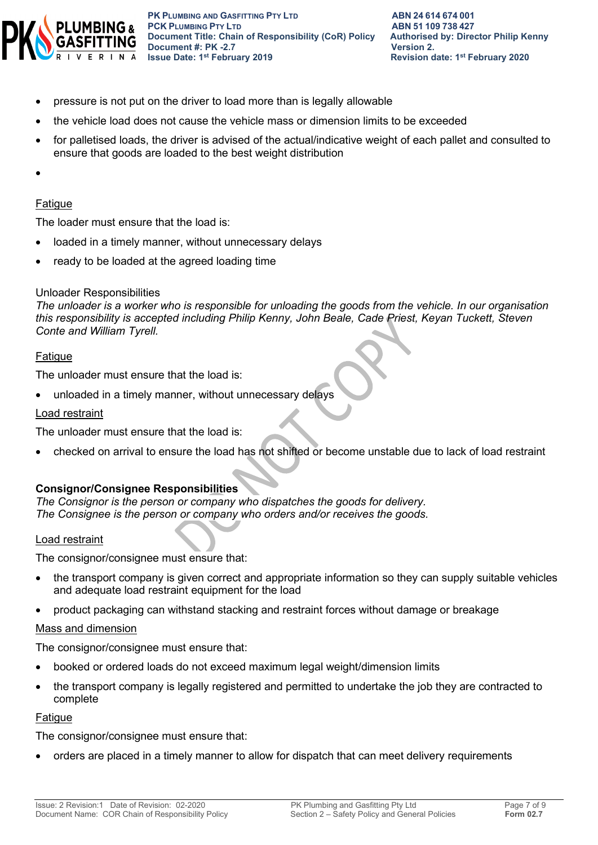

- pressure is not put on the driver to load more than is legally allowable
- the vehicle load does not cause the vehicle mass or dimension limits to be exceeded
- for palletised loads, the driver is advised of the actual/indicative weight of each pallet and consulted to ensure that goods are loaded to the best weight distribution
- •

#### Fatigue

The loader must ensure that the load is:

- loaded in a timely manner, without unnecessary delays
- ready to be loaded at the agreed loading time

#### Unloader Responsibilities

*The unloader is a worker who is responsible for unloading the goods from the vehicle. In our organisation this responsibility is accepted including Philip Kenny, John Beale, Cade Priest, Keyan Tuckett, Steven Conte and William Tyrell.*

#### Fatigue

The unloader must ensure that the load is:

unloaded in a timely manner, without unnecessary delays

#### Load restraint

The unloader must ensure that the load is:

• checked on arrival to ensure the load has not shifted or become unstable due to lack of load restraint

#### **Consignor/Consignee Responsibilities**

*The Consignor is the person or company who dispatches the goods for delivery. The Consignee is the person or company who orders and/or receives the goods.* 

#### Load restraint

The consignor/consignee must ensure that:

- the transport company is given correct and appropriate information so they can supply suitable vehicles and adequate load restraint equipment for the load
- product packaging can withstand stacking and restraint forces without damage or breakage

#### Mass and dimension

The consignor/consignee must ensure that:

- booked or ordered loads do not exceed maximum legal weight/dimension limits
- the transport company is legally registered and permitted to undertake the job they are contracted to complete

#### Fatigue

The consignor/consignee must ensure that:

• orders are placed in a timely manner to allow for dispatch that can meet delivery requirements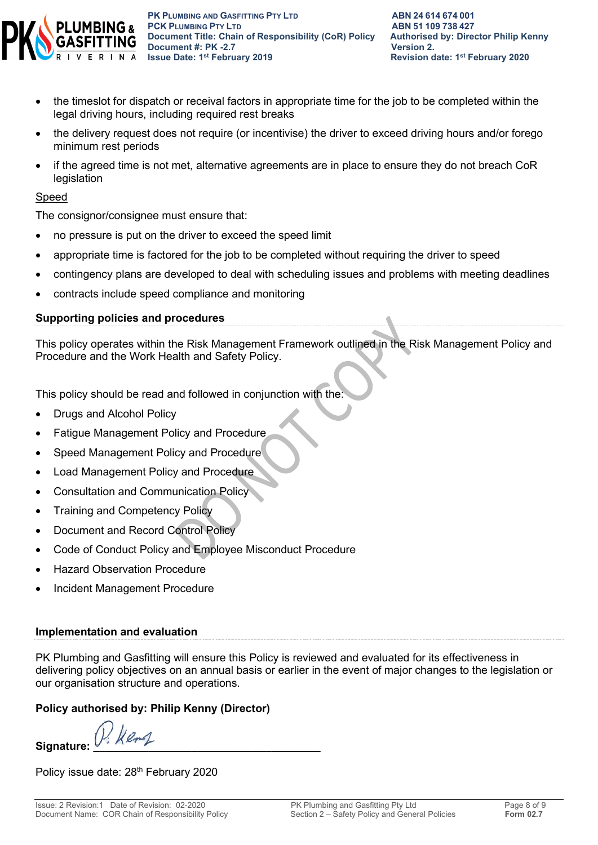

- the timeslot for dispatch or receival factors in appropriate time for the job to be completed within the legal driving hours, including required rest breaks
- the delivery request does not require (or incentivise) the driver to exceed driving hours and/or forego minimum rest periods
- if the agreed time is not met, alternative agreements are in place to ensure they do not breach CoR legislation

#### Speed

The consignor/consignee must ensure that:

- no pressure is put on the driver to exceed the speed limit
- appropriate time is factored for the job to be completed without requiring the driver to speed
- contingency plans are developed to deal with scheduling issues and problems with meeting deadlines
- contracts include speed compliance and monitoring

#### **Supporting policies and procedures**

This policy operates within the Risk Management Framework outlined in the Risk Management Policy and Procedure and the Work Health and Safety Policy.

This policy should be read and followed in conjunction with the:

- Drugs and Alcohol Policy
- Fatigue Management Policy and Procedure
- Speed Management Policy and Procedure
- Load Management Policy and Procedure
- Consultation and Communication Policy
- **Training and Competency Policy**
- Document and Record Control Policy
- Code of Conduct Policy and Employee Misconduct Procedure
- **Hazard Observation Procedure**
- Incident Management Procedure

#### **Implementation and evaluation**

PK Plumbing and Gasfitting will ensure this Policy is reviewed and evaluated for its effectiveness in delivering policy objectives on an annual basis or earlier in the event of major changes to the legislation or our organisation structure and operations.

#### **Policy authorised by: Philip Kenny (Director)**

Signature:

Policy issue date: 28<sup>th</sup> February 2020